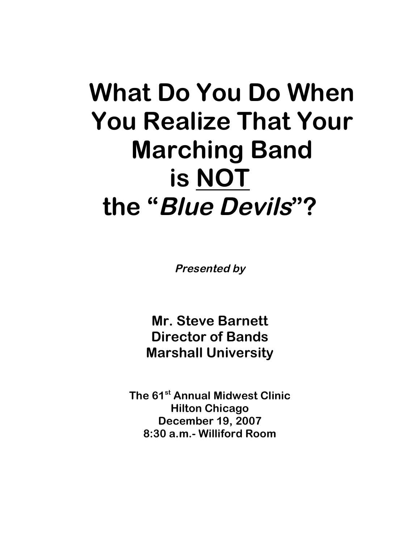# **What Do You Do When You Realize That Your Marching Band is NOT the "Blue Devils"?**

**Presented by**

**Mr. Steve Barnett Director of Bands Marshall University**

**The 61st Annual Midwest Clinic Hilton Chicago December 19, 2007 8:30 a.m.- Williford Room**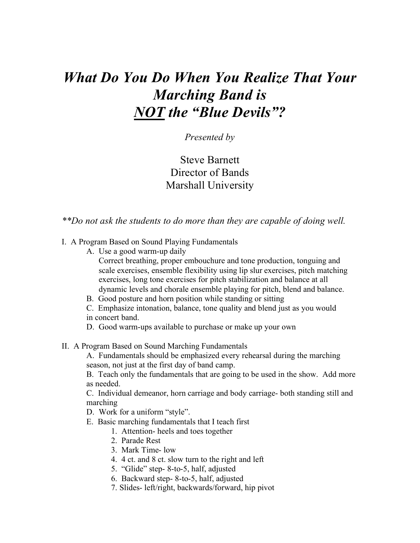## *What Do You Do When You Realize That Your Marching Band is NOT the "Blue Devils"?*

### *Presented by*

Steve Barnett Director of Bands Marshall University

*\*\*Do not ask the students to do more than they are capable of doing well.*

I. A Program Based on Sound Playing Fundamentals

- A. Use a good warm-up daily
	- Correct breathing, proper embouchure and tone production, tonguing and scale exercises, ensemble flexibility using lip slur exercises, pitch matching exercises, long tone exercises for pitch stabilization and balance at all dynamic levels and chorale ensemble playing for pitch, blend and balance.
- B. Good posture and horn position while standing or sitting
- C. Emphasize intonation, balance, tone quality and blend just as you would in concert band.
- D. Good warm-ups available to purchase or make up your own
- II. A Program Based on Sound Marching Fundamentals

A. Fundamentals should be emphasized every rehearsal during the marching season, not just at the first day of band camp.

B. Teach only the fundamentals that are going to be used in the show. Add more as needed.

C. Individual demeanor, horn carriage and body carriage- both standing still and marching

- D. Work for a uniform "style".
- E. Basic marching fundamentals that I teach first
	- 1. Attention- heels and toes together
	- 2. Parade Rest
	- 3. Mark Time- low
	- 4. 4 ct. and 8 ct. slow turn to the right and left
	- 5. "Glide" step- 8-to-5, half, adjusted
	- 6. Backward step- 8-to-5, half, adjusted
	- 7. Slides- left/right, backwards/forward, hip pivot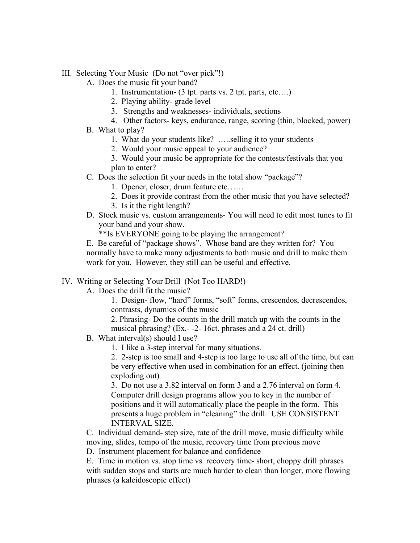- III. Selecting Your Music (Do not "over pick"!)
	- A. Does the music fit your band?
		- 1. Instrumentation- (3 tpt. parts vs. 2 tpt. parts, etc….)
		- 2. Playing ability- grade level
		- 3. Strengths and weaknesses- individuals, sections
		- 4. Other factors- keys, endurance, range, scoring (thin, blocked, power)
	- B. What to play?
		- 1. What do your students like? …..selling it to your students
		- 2. Would your music appeal to your audience?
		- 3. Would your music be appropriate for the contests/festivals that you plan to enter?
	- C. Does the selection fit your needs in the total show "package"?
		- 1. Opener, closer, drum feature etc……
		- 2. Does it provide contrast from the other music that you have selected?
		- 3. Is it the right length?
	- D. Stock music vs. custom arrangements- You will need to edit most tunes to fit your band and your show.

\*\*Is EVERYONE going to be playing the arrangement?

E. Be careful of "package shows". Whose band are they written for? You normally have to make many adjustments to both music and drill to make them work for you. However, they still can be useful and effective.

#### IV. Writing or Selecting Your Drill (Not Too HARD!)

A. Does the drill fit the music?

1. Design- flow, "hard" forms, "soft" forms, crescendos, decrescendos, contrasts, dynamics of the music

2. Phrasing- Do the counts in the drill match up with the counts in the musical phrasing? (Ex.- -2- 16ct. phrases and a 24 ct. drill)

- B. What interval(s) should I use?
	- 1. I like a 3-step interval for many situations.

2. 2-step is too small and 4-step is too large to use all of the time, but can be very effective when used in combination for an effect. (joining then exploding out)

3. Do not use a 3.82 interval on form 3 and a 2.76 interval on form 4. Computer drill design programs allow you to key in the number of positions and it will automatically place the people in the form. This presents a huge problem in "cleaning" the drill. USE CONSISTENT INTERVAL SIZE.

C. Individual demand- step size, rate of the drill move, music difficulty while moving, slides, tempo of the music, recovery time from previous move

D. Instrument placement for balance and confidence

E. Time in motion vs. stop time vs. recovery time- short, choppy drill phrases with sudden stops and starts are much harder to clean than longer, more flowing phrases (a kaleidoscopic effect)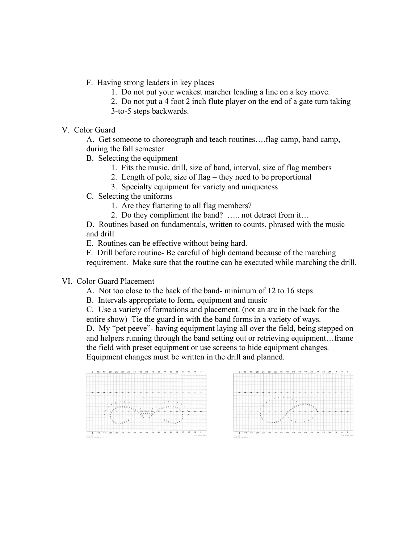- F. Having strong leaders in key places
	- 1. Do not put your weakest marcher leading a line on a key move.
	- 2. Do not put a 4 foot 2 inch flute player on the end of a gate turn taking
	- 3-to-5 steps backwards.
- V. Color Guard

A. Get someone to choreograph and teach routines….flag camp, band camp, during the fall semester

- B. Selecting the equipment
	- 1. Fits the music, drill, size of band, interval, size of flag members
	- 2. Length of pole, size of flag they need to be proportional
	- 3. Specialty equipment for variety and uniqueness
- C. Selecting the uniforms
	- 1. Are they flattering to all flag members?
	- 2. Do they compliment the band? ….. not detract from it…

D. Routines based on fundamentals, written to counts, phrased with the music and drill

E. Routines can be effective without being hard.

F. Drill before routine- Be careful of high demand because of the marching requirement. Make sure that the routine can be executed while marching the drill.

#### VI. Color Guard Placement

- A. Not too close to the back of the band- minimum of 12 to 16 steps
- B. Intervals appropriate to form, equipment and music
- C. Use a variety of formations and placement. (not an arc in the back for the entire show) Tie the guard in with the band forms in a variety of ways.

D. My "pet peeve"- having equipment laying all over the field, being stepped on and helpers running through the band setting out or retrieving equipment…frame the field with preset equipment or use screens to hide equipment changes. Equipment changes must be written in the drill and planned.